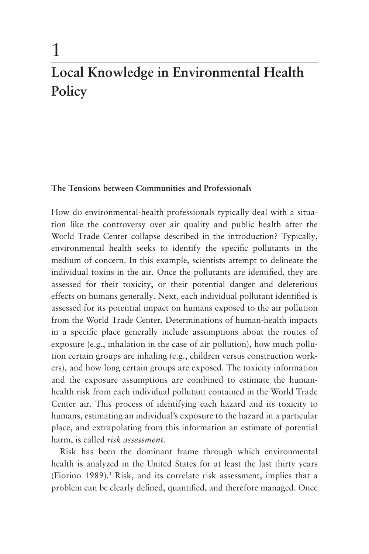# **[Local Knowledge in Environmental Health](#page--1-0) Policy**

#### **The Tensions between Communities and Professionals**

1

How do environmental-health professionals typically deal with a situation like the controversy over air quality and public health after the World Trade Center collapse described in the introduction? Typically, environmental health seeks to identify the specific pollutants in the medium of concern. In this example, scientists attempt to delineate the individual toxins in the air. Once the pollutants are identified, they are assessed for their toxicity, or their potential danger and deleterious effects on humans generally. Next, each individual pollutant identified is assessed for its potential impact on humans exposed to the air pollution from the World Trade Center. Determinations of human-health impacts in a specific place generally include assumptions about the routes of exposure (e.g., inhalation in the case of air pollution), how much pollution certain groups are inhaling (e.g., children versus construction workers), and how long certain groups are exposed. The toxicity information and the exposure assumptions are combined to estimate the humanhealth risk from each individual pollutant contained in the World Trade Center air. This process of identifying each hazard and its toxicity to humans, estimating an individual's exposure to the hazard in a particular place, and extrapolating from this information an estimate of potential harm, is called *risk assessment.*

Risk has been the dominant frame through which environmental health is analyzed in the United States for at least the last thirty years (Fiorino 1989).<sup>3</sup> Risk, and its correlate risk assessment, implies that a problem can be clearly defined, quantified, and therefore managed. Once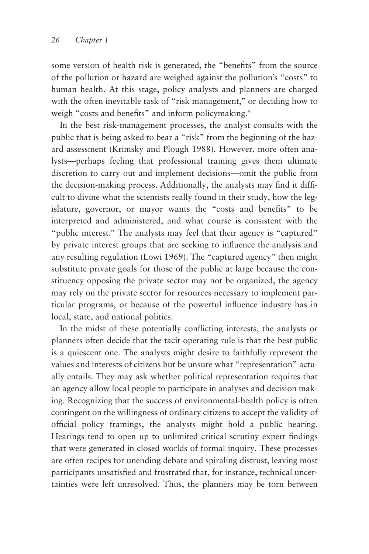some version of health risk is generated, the "benefits" from the source of the pollution or hazard are weighed against the pollution's "costs" to human health. At this stage, policy analysts and planners are charged with the often inevitable task of "risk management," or deciding how to weigh "costs and benefits" and inform policymaking.<sup>4</sup>

In the best risk-management processes, the analyst consults with the public that is being asked to bear a "risk" from the beginning of the hazard assessment (Krimsky and Plough 1988). However, more often analysts—perhaps feeling that professional training gives them ultimate discretion to carry out and implement decisions—omit the public from the decision-making process. Additionally, the analysts may find it difficult to divine what the scientists really found in their study, how the legislature, governor, or mayor wants the "costs and benefits" to be interpreted and administered, and what course is consistent with the "public interest." The analysts may feel that their agency is "captured" by private interest groups that are seeking to influence the analysis and any resulting regulation (Lowi 1969). The "captured agency" then might substitute private goals for those of the public at large because the constituency opposing the private sector may not be organized, the agency may rely on the private sector for resources necessary to implement particular programs, or because of the powerful influence industry has in local, state, and national politics.

In the midst of these potentially conflicting interests, the analysts or planners often decide that the tacit operating rule is that the best public is a quiescent one. The analysts might desire to faithfully represent the values and interests of citizens but be unsure what "representation" actually entails. They may ask whether political representation requires that an agency allow local people to participate in analyses and decision making. Recognizing that the success of environmental-health policy is often contingent on the willingness of ordinary citizens to accept the validity of official policy framings, the analysts might hold a public hearing. Hearings tend to open up to unlimited critical scrutiny expert findings that were generated in closed worlds of formal inquiry. These processes are often recipes for unending debate and spiraling distrust, leaving most participants unsatisfied and frustrated that, for instance, technical uncertainties were left unresolved. Thus, the planners may be torn between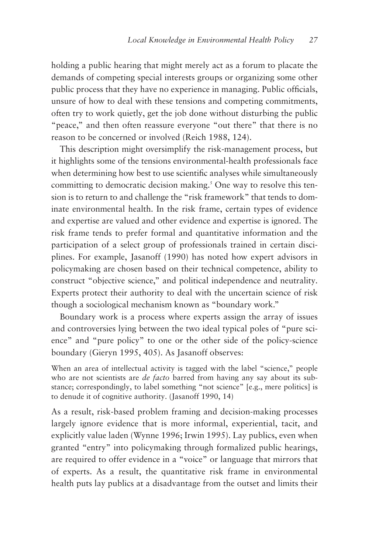holding a public hearing that might merely act as a forum to placate the demands of competing special interests groups or organizing some other public process that they have no experience in managing. Public officials, unsure of how to deal with these tensions and competing commitments, often try to work quietly, get the job done without disturbing the public "peace," and then often reassure everyone "out there" that there is no reason to be concerned or involved (Reich 1988, 124).

This description might oversimplify the risk-management process, but it highlights some of the tensions environmental-health professionals face when determining how best to use scientific analyses while simultaneously committing to democratic decision making.<sup>5</sup> One way to resolve this tension is to return to and challenge the "risk framework" that tends to dominate environmental health. In the risk frame, certain types of evidence and expertise are valued and other evidence and expertise is ignored. The risk frame tends to prefer formal and quantitative information and the participation of a select group of professionals trained in certain disciplines. For example, Jasanoff (1990) has noted how expert advisors in policymaking are chosen based on their technical competence, ability to construct "objective science," and political independence and neutrality. Experts protect their authority to deal with the uncertain science of risk though a sociological mechanism known as "boundary work."

Boundary work is a process where experts assign the array of issues and controversies lying between the two ideal typical poles of "pure science" and "pure policy" to one or the other side of the policy-science boundary (Gieryn 1995, 405). As Jasanoff observes:

When an area of intellectual activity is tagged with the label "science," people who are not scientists are *de facto* barred from having any say about its substance; correspondingly, to label something "not science" [e.g., mere politics] is to denude it of cognitive authority. (Jasanoff 1990, 14)

As a result, risk-based problem framing and decision-making processes largely ignore evidence that is more informal, experiential, tacit, and explicitly value laden (Wynne 1996; Irwin 1995). Lay publics, even when granted "entry" into policymaking through formalized public hearings, are required to offer evidence in a "voice" or language that mirrors that of experts. As a result, the quantitative risk frame in environmental health puts lay publics at a disadvantage from the outset and limits their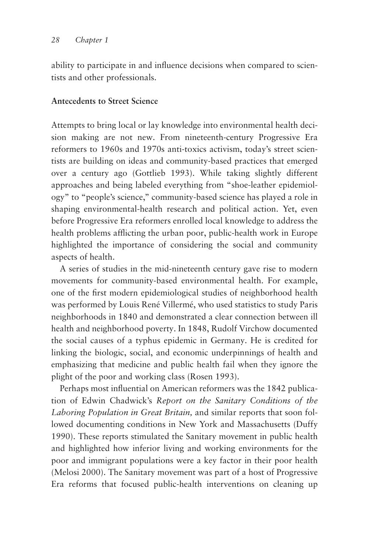ability to participate in and influence decisions when compared to scientists and other professionals.

#### **Antecedents to Street Science**

Attempts to bring local or lay knowledge into environmental health decision making are not new. From nineteenth-century Progressive Era reformers to 1960s and 1970s anti-toxics activism, today's street scientists are building on ideas and community-based practices that emerged over a century ago (Gottlieb 1993). While taking slightly different approaches and being labeled everything from "shoe-leather epidemiology" to "people's science," community-based science has played a role in shaping environmental-health research and political action. Yet, even before Progressive Era reformers enrolled local knowledge to address the health problems afflicting the urban poor, public-health work in Europe highlighted the importance of considering the social and community aspects of health.

A series of studies in the mid-nineteenth century gave rise to modern movements for community-based environmental health. For example, one of the first modern epidemiological studies of neighborhood health was performed by Louis René Villermé, who used statistics to study Paris neighborhoods in 1840 and demonstrated a clear connection between ill health and neighborhood poverty. In 1848, Rudolf Virchow documented the social causes of a typhus epidemic in Germany. He is credited for linking the biologic, social, and economic underpinnings of health and emphasizing that medicine and public health fail when they ignore the plight of the poor and working class (Rosen 1993).

Perhaps most influential on American reformers was the 1842 publication of Edwin Chadwick's *Report on the Sanitary Conditions of the Laboring Population in Great Britain,* and similar reports that soon followed documenting conditions in New York and Massachusetts (Duffy 1990). These reports stimulated the Sanitary movement in public health and highlighted how inferior living and working environments for the poor and immigrant populations were a key factor in their poor health (Melosi 2000). The Sanitary movement was part of a host of Progressive Era reforms that focused public-health interventions on cleaning up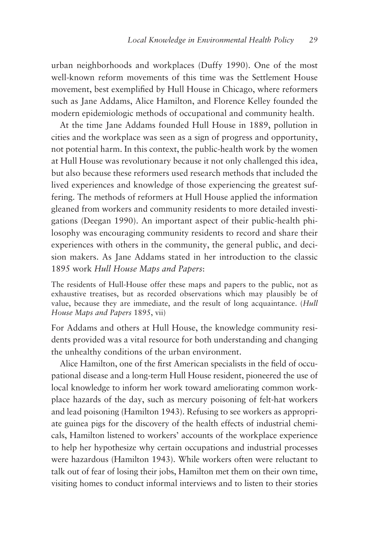urban neighborhoods and workplaces (Duffy 1990). One of the most well-known reform movements of this time was the Settlement House movement, best exemplified by Hull House in Chicago, where reformers such as Jane Addams, Alice Hamilton, and Florence Kelley founded the modern epidemiologic methods of occupational and community health.

At the time Jane Addams founded Hull House in 1889, pollution in cities and the workplace was seen as a sign of progress and opportunity, not potential harm. In this context, the public-health work by the women at Hull House was revolutionary because it not only challenged this idea, but also because these reformers used research methods that included the lived experiences and knowledge of those experiencing the greatest suffering. The methods of reformers at Hull House applied the information gleaned from workers and community residents to more detailed investigations (Deegan 1990). An important aspect of their public-health philosophy was encouraging community residents to record and share their experiences with others in the community, the general public, and decision makers. As Jane Addams stated in her introduction to the classic 1895 work *Hull House Maps and Papers*:

The residents of Hull-House offer these maps and papers to the public, not as exhaustive treatises, but as recorded observations which may plausibly be of value, because they are immediate, and the result of long acquaintance. (*Hull House Maps and Papers* 1895, vii)

For Addams and others at Hull House, the knowledge community residents provided was a vital resource for both understanding and changing the unhealthy conditions of the urban environment.

Alice Hamilton, one of the first American specialists in the field of occupational disease and a long-term Hull House resident, pioneered the use of local knowledge to inform her work toward ameliorating common workplace hazards of the day, such as mercury poisoning of felt-hat workers and lead poisoning (Hamilton 1943). Refusing to see workers as appropriate guinea pigs for the discovery of the health effects of industrial chemicals, Hamilton listened to workers' accounts of the workplace experience to help her hypothesize why certain occupations and industrial processes were hazardous (Hamilton 1943). While workers often were reluctant to talk out of fear of losing their jobs, Hamilton met them on their own time, visiting homes to conduct informal interviews and to listen to their stories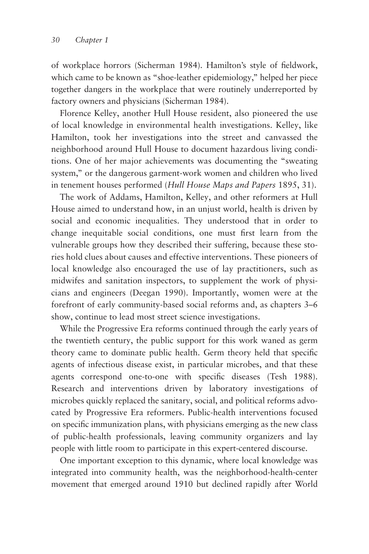of workplace horrors (Sicherman 1984). Hamilton's style of fieldwork, which came to be known as "shoe-leather epidemiology," helped her piece together dangers in the workplace that were routinely underreported by factory owners and physicians (Sicherman 1984).

Florence Kelley, another Hull House resident, also pioneered the use of local knowledge in environmental health investigations. Kelley, like Hamilton, took her investigations into the street and canvassed the neighborhood around Hull House to document hazardous living conditions. One of her major achievements was documenting the "sweating system," or the dangerous garment-work women and children who lived in tenement houses performed (*Hull House Maps and Papers* 1895, 31).

The work of Addams, Hamilton, Kelley, and other reformers at Hull House aimed to understand how, in an unjust world, health is driven by social and economic inequalities. They understood that in order to change inequitable social conditions, one must first learn from the vulnerable groups how they described their suffering, because these stories hold clues about causes and effective interventions. These pioneers of local knowledge also encouraged the use of lay practitioners, such as midwifes and sanitation inspectors, to supplement the work of physicians and engineers (Deegan 1990). Importantly, women were at the forefront of early community-based social reforms and, as chapters 3–6 show, continue to lead most street science investigations.

While the Progressive Era reforms continued through the early years of the twentieth century, the public support for this work waned as germ theory came to dominate public health. Germ theory held that specific agents of infectious disease exist, in particular microbes, and that these agents correspond one-to-one with specific diseases (Tesh 1988). Research and interventions driven by laboratory investigations of microbes quickly replaced the sanitary, social, and political reforms advocated by Progressive Era reformers. Public-health interventions focused on specific immunization plans, with physicians emerging as the new class of public-health professionals, leaving community organizers and lay people with little room to participate in this expert-centered discourse.

One important exception to this dynamic, where local knowledge was integrated into community health, was the neighborhood-health-center movement that emerged around 1910 but declined rapidly after World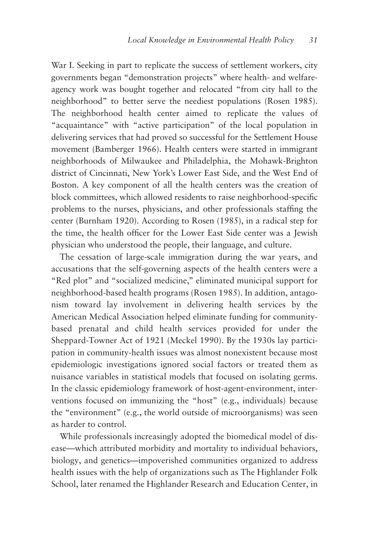War I. Seeking in part to replicate the success of settlement workers, city governments began "demonstration projects" where health- and welfareagency work was bought together and relocated "from city hall to the neighborhood" to better serve the neediest populations (Rosen 1985). The neighborhood health center aimed to replicate the values of "acquaintance" with "active participation" of the local population in delivering services that had proved so successful for the Settlement House movement (Bamberger 1966). Health centers were started in immigrant neighborhoods of Milwaukee and Philadelphia, the Mohawk-Brighton district of Cincinnati, New York's Lower East Side, and the West End of Boston. A key component of all the health centers was the creation of block committees, which allowed residents to raise neighborhood-specific problems to the nurses, physicians, and other professionals staffing the center (Burnham 1920). According to Rosen (1985), in a radical step for the time, the health officer for the Lower East Side center was a Jewish physician who understood the people, their language, and culture.

The cessation of large-scale immigration during the war years, and accusations that the self-governing aspects of the health centers were a "Red plot" and "socialized medicine," eliminated municipal support for neighborhood-based health programs (Rosen 1985). In addition, antagonism toward lay involvement in delivering health services by the American Medical Association helped eliminate funding for communitybased prenatal and child health services provided for under the Sheppard-Towner Act of 1921 (Meckel 1990). By the 1930s lay participation in community-health issues was almost nonexistent because most epidemiologic investigations ignored social factors or treated them as nuisance variables in statistical models that focused on isolating germs. In the classic epidemiology framework of host-agent-environment, interventions focused on immunizing the "host" (e.g., individuals) because the "environment" (e.g., the world outside of microorganisms) was seen as harder to control.

While professionals increasingly adopted the biomedical model of disease—which attributed morbidity and mortality to individual behaviors, biology, and genetics—impoverished communities organized to address health issues with the help of organizations such as The Highlander Folk School, later renamed the Highlander Research and Education Center, in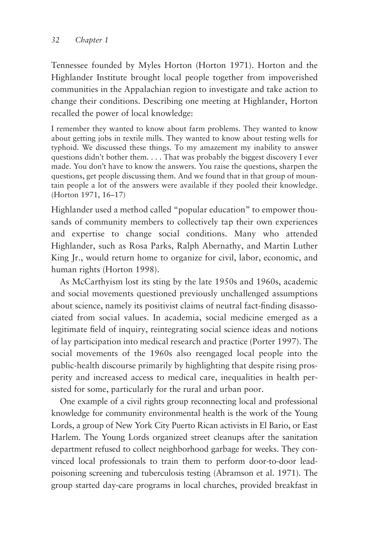Tennessee founded by Myles Horton (Horton 1971). Horton and the Highlander Institute brought local people together from impoverished communities in the Appalachian region to investigate and take action to change their conditions. Describing one meeting at Highlander, Horton recalled the power of local knowledge:

I remember they wanted to know about farm problems. They wanted to know about getting jobs in textile mills. They wanted to know about testing wells for typhoid. We discussed these things. To my amazement my inability to answer questions didn't bother them. . . . That was probably the biggest discovery I ever made. You don't have to know the answers. You raise the questions, sharpen the questions, get people discussing them. And we found that in that group of mountain people a lot of the answers were available if they pooled their knowledge. (Horton 1971, 16–17)

Highlander used a method called "popular education" to empower thousands of community members to collectively tap their own experiences and expertise to change social conditions. Many who attended Highlander, such as Rosa Parks, Ralph Abernathy, and Martin Luther King Jr., would return home to organize for civil, labor, economic, and human rights (Horton 1998).

As McCarthyism lost its sting by the late 1950s and 1960s, academic and social movements questioned previously unchallenged assumptions about science, namely its positivist claims of neutral fact-finding disassociated from social values. In academia, social medicine emerged as a legitimate field of inquiry, reintegrating social science ideas and notions of lay participation into medical research and practice (Porter 1997). The social movements of the 1960s also reengaged local people into the public-health discourse primarily by highlighting that despite rising prosperity and increased access to medical care, inequalities in health persisted for some, particularly for the rural and urban poor.

One example of a civil rights group reconnecting local and professional knowledge for community environmental health is the work of the Young Lords, a group of New York City Puerto Rican activists in El Bario, or East Harlem. The Young Lords organized street cleanups after the sanitation department refused to collect neighborhood garbage for weeks. They convinced local professionals to train them to perform door-to-door leadpoisoning screening and tuberculosis testing (Abramson et al. 1971). The group started day-care programs in local churches, provided breakfast in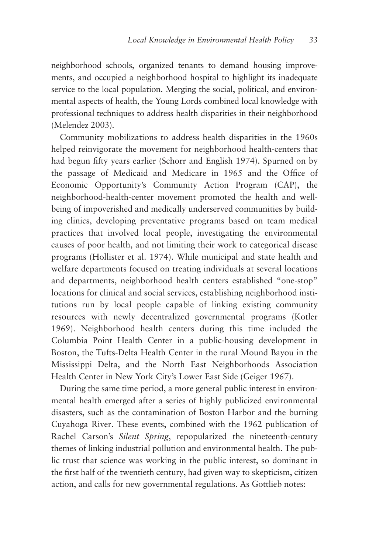neighborhood schools, organized tenants to demand housing improvements, and occupied a neighborhood hospital to highlight its inadequate service to the local population. Merging the social, political, and environmental aspects of health, the Young Lords combined local knowledge with professional techniques to address health disparities in their neighborhood (Melendez 2003).

Community mobilizations to address health disparities in the 1960s helped reinvigorate the movement for neighborhood health-centers that had begun fifty years earlier (Schorr and English 1974). Spurned on by the passage of Medicaid and Medicare in 1965 and the Office of Economic Opportunity's Community Action Program (CAP), the neighborhood-health-center movement promoted the health and wellbeing of impoverished and medically underserved communities by building clinics, developing preventative programs based on team medical practices that involved local people, investigating the environmental causes of poor health, and not limiting their work to categorical disease programs (Hollister et al. 1974). While municipal and state health and welfare departments focused on treating individuals at several locations and departments, neighborhood health centers established "one-stop" locations for clinical and social services, establishing neighborhood institutions run by local people capable of linking existing community resources with newly decentralized governmental programs (Kotler 1969). Neighborhood health centers during this time included the Columbia Point Health Center in a public-housing development in Boston, the Tufts-Delta Health Center in the rural Mound Bayou in the Mississippi Delta, and the North East Neighborhoods Association Health Center in New York City's Lower East Side (Geiger 1967).

During the same time period, a more general public interest in environmental health emerged after a series of highly publicized environmental disasters, such as the contamination of Boston Harbor and the burning Cuyahoga River. These events, combined with the 1962 publication of Rachel Carson's *Silent Spring*, repopularized the nineteenth-century themes of linking industrial pollution and environmental health. The public trust that science was working in the public interest, so dominant in the first half of the twentieth century, had given way to skepticism, citizen action, and calls for new governmental regulations. As Gottlieb notes: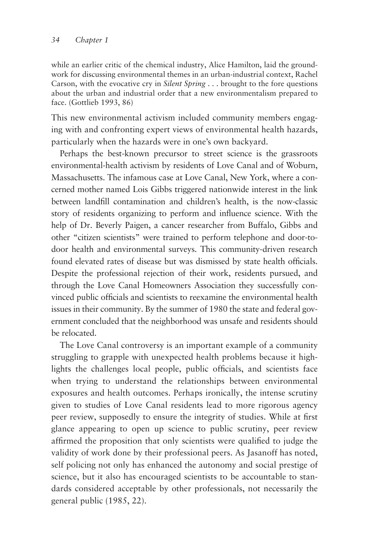while an earlier critic of the chemical industry, Alice Hamilton, laid the groundwork for discussing environmental themes in an urban-industrial context, Rachel Carson, with the evocative cry in *Silent Spring* . . . brought to the fore questions about the urban and industrial order that a new environmentalism prepared to face. (Gottlieb 1993, 86)

This new environmental activism included community members engaging with and confronting expert views of environmental health hazards, particularly when the hazards were in one's own backyard.

Perhaps the best-known precursor to street science is the grassroots environmental-health activism by residents of Love Canal and of Woburn, Massachusetts. The infamous case at Love Canal, New York, where a concerned mother named Lois Gibbs triggered nationwide interest in the link between landfill contamination and children's health, is the now-classic story of residents organizing to perform and influence science. With the help of Dr. Beverly Paigen, a cancer researcher from Buffalo, Gibbs and other "citizen scientists" were trained to perform telephone and door-todoor health and environmental surveys. This community-driven research found elevated rates of disease but was dismissed by state health officials. Despite the professional rejection of their work, residents pursued, and through the Love Canal Homeowners Association they successfully convinced public officials and scientists to reexamine the environmental health issues in their community. By the summer of 1980 the state and federal government concluded that the neighborhood was unsafe and residents should be relocated.

The Love Canal controversy is an important example of a community struggling to grapple with unexpected health problems because it highlights the challenges local people, public officials, and scientists face when trying to understand the relationships between environmental exposures and health outcomes. Perhaps ironically, the intense scrutiny given to studies of Love Canal residents lead to more rigorous agency peer review, supposedly to ensure the integrity of studies. While at first glance appearing to open up science to public scrutiny, peer review affirmed the proposition that only scientists were qualified to judge the validity of work done by their professional peers. As Jasanoff has noted, self policing not only has enhanced the autonomy and social prestige of science, but it also has encouraged scientists to be accountable to standards considered acceptable by other professionals, not necessarily the general public (1985, 22).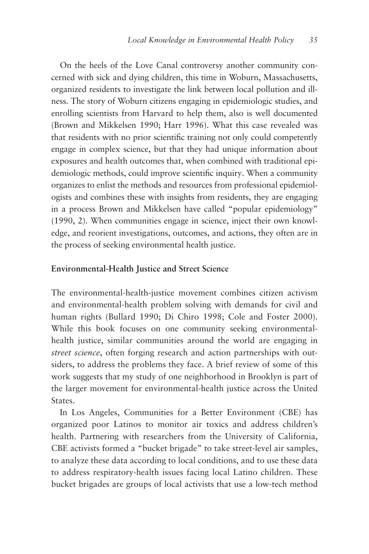On the heels of the Love Canal controversy another community concerned with sick and dying children, this time in Woburn, Massachusetts, organized residents to investigate the link between local pollution and illness. The story of Woburn citizens engaging in epidemiologic studies, and enrolling scientists from Harvard to help them, also is well documented (Brown and Mikkelsen 1990; Harr 1996). What this case revealed was that residents with no prior scientific training not only could competently engage in complex science, but that they had unique information about exposures and health outcomes that, when combined with traditional epidemiologic methods, could improve scientific inquiry. When a community organizes to enlist the methods and resources from professional epidemiologists and combines these with insights from residents, they are engaging in a process Brown and Mikkelsen have called "popular epidemiology" (1990, 2). When communities engage in science, inject their own knowledge, and reorient investigations, outcomes, and actions, they often are in the process of seeking environmental health justice.

#### **Environmental-Health Justice and Street Science**

The environmental-health-justice movement combines citizen activism and environmental-health problem solving with demands for civil and human rights (Bullard 1990; Di Chiro 1998; Cole and Foster 2000). While this book focuses on one community seeking environmentalhealth justice, similar communities around the world are engaging in *street science*, often forging research and action partnerships with outsiders, to address the problems they face. A brief review of some of this work suggests that my study of one neighborhood in Brooklyn is part of the larger movement for environmental-health justice across the United States.

In Los Angeles, Communities for a Better Environment (CBE) has organized poor Latinos to monitor air toxics and address children's health. Partnering with researchers from the University of California, CBE activists formed a "bucket brigade" to take street-level air samples, to analyze these data according to local conditions, and to use these data to address respiratory-health issues facing local Latino children. These bucket brigades are groups of local activists that use a low-tech method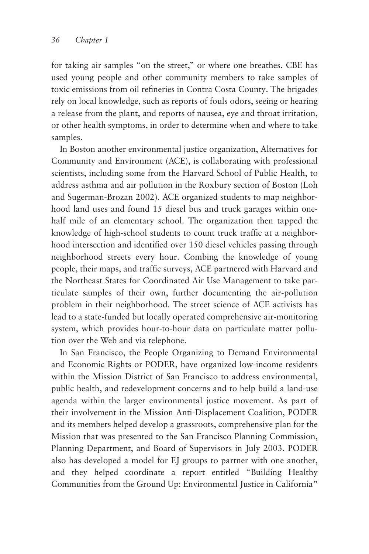for taking air samples "on the street," or where one breathes. CBE has used young people and other community members to take samples of toxic emissions from oil refineries in Contra Costa County. The brigades rely on local knowledge, such as reports of fouls odors, seeing or hearing a release from the plant, and reports of nausea, eye and throat irritation, or other health symptoms, in order to determine when and where to take samples.

In Boston another environmental justice organization, Alternatives for Community and Environment (ACE), is collaborating with professional scientists, including some from the Harvard School of Public Health, to address asthma and air pollution in the Roxbury section of Boston (Loh and Sugerman-Brozan 2002). ACE organized students to map neighborhood land uses and found 15 diesel bus and truck garages within onehalf mile of an elementary school. The organization then tapped the knowledge of high-school students to count truck traffic at a neighborhood intersection and identified over 150 diesel vehicles passing through neighborhood streets every hour. Combing the knowledge of young people, their maps, and traffic surveys, ACE partnered with Harvard and the Northeast States for Coordinated Air Use Management to take particulate samples of their own, further documenting the air-pollution problem in their neighborhood. The street science of ACE activists has lead to a state-funded but locally operated comprehensive air-monitoring system, which provides hour-to-hour data on particulate matter pollution over the Web and via telephone.

In San Francisco, the People Organizing to Demand Environmental and Economic Rights or PODER, have organized low-income residents within the Mission District of San Francisco to address environmental, public health, and redevelopment concerns and to help build a land-use agenda within the larger environmental justice movement. As part of their involvement in the Mission Anti-Displacement Coalition, PODER and its members helped develop a grassroots, comprehensive plan for the Mission that was presented to the San Francisco Planning Commission, Planning Department, and Board of Supervisors in July 2003. PODER also has developed a model for EJ groups to partner with one another, and they helped coordinate a report entitled "Building Healthy Communities from the Ground Up: Environmental Justice in California"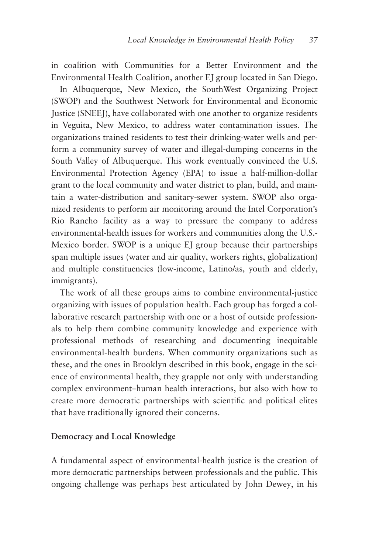in coalition with Communities for a Better Environment and the Environmental Health Coalition, another EJ group located in San Diego.

In Albuquerque, New Mexico, the SouthWest Organizing Project (SWOP) and the Southwest Network for Environmental and Economic Justice (SNEEJ), have collaborated with one another to organize residents in Veguita, New Mexico, to address water contamination issues. The organizations trained residents to test their drinking-water wells and perform a community survey of water and illegal-dumping concerns in the South Valley of Albuquerque. This work eventually convinced the U.S. Environmental Protection Agency (EPA) to issue a half-million-dollar grant to the local community and water district to plan, build, and maintain a water-distribution and sanitary-sewer system. SWOP also organized residents to perform air monitoring around the Intel Corporation's Rio Rancho facility as a way to pressure the company to address environmental-health issues for workers and communities along the U.S.- Mexico border. SWOP is a unique EJ group because their partnerships span multiple issues (water and air quality, workers rights, globalization) and multiple constituencies (low-income, Latino/as, youth and elderly, immigrants).

The work of all these groups aims to combine environmental-justice organizing with issues of population health. Each group has forged a collaborative research partnership with one or a host of outside professionals to help them combine community knowledge and experience with professional methods of researching and documenting inequitable environmental-health burdens. When community organizations such as these, and the ones in Brooklyn described in this book, engage in the science of environmental health, they grapple not only with understanding complex environment–human health interactions, but also with how to create more democratic partnerships with scientific and political elites that have traditionally ignored their concerns.

#### **Democracy and Local Knowledge**

A fundamental aspect of environmental-health justice is the creation of more democratic partnerships between professionals and the public. This ongoing challenge was perhaps best articulated by John Dewey, in his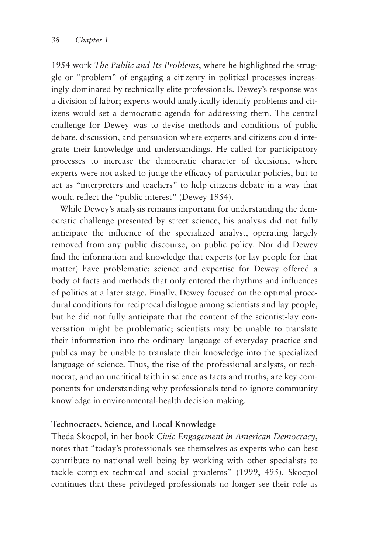1954 work *The Public and Its Problems*, where he highlighted the struggle or "problem" of engaging a citizenry in political processes increasingly dominated by technically elite professionals. Dewey's response was a division of labor; experts would analytically identify problems and citizens would set a democratic agenda for addressing them. The central challenge for Dewey was to devise methods and conditions of public debate, discussion, and persuasion where experts and citizens could integrate their knowledge and understandings. He called for participatory processes to increase the democratic character of decisions, where experts were not asked to judge the efficacy of particular policies, but to act as "interpreters and teachers" to help citizens debate in a way that would reflect the "public interest" (Dewey 1954).

While Dewey's analysis remains important for understanding the democratic challenge presented by street science, his analysis did not fully anticipate the influence of the specialized analyst, operating largely removed from any public discourse, on public policy. Nor did Dewey find the information and knowledge that experts (or lay people for that matter) have problematic; science and expertise for Dewey offered a body of facts and methods that only entered the rhythms and influences of politics at a later stage. Finally, Dewey focused on the optimal procedural conditions for reciprocal dialogue among scientists and lay people, but he did not fully anticipate that the content of the scientist-lay conversation might be problematic; scientists may be unable to translate their information into the ordinary language of everyday practice and publics may be unable to translate their knowledge into the specialized language of science. Thus, the rise of the professional analysts, or technocrat, and an uncritical faith in science as facts and truths, are key components for understanding why professionals tend to ignore community knowledge in environmental-health decision making.

## **Technocracts, Science, and Local Knowledge**

Theda Skocpol, in her book *Civic Engagement in American Democracy*, notes that "today's professionals see themselves as experts who can best contribute to national well being by working with other specialists to tackle complex technical and social problems" (1999, 495). Skocpol continues that these privileged professionals no longer see their role as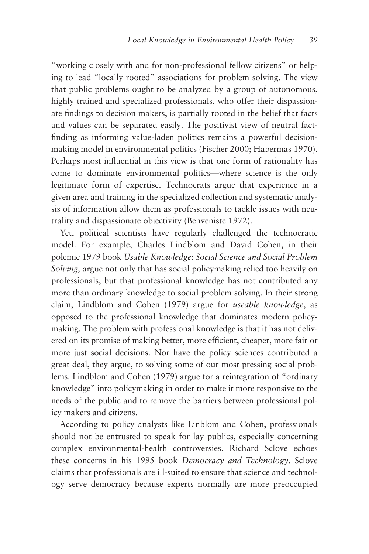"working closely with and for non-professional fellow citizens" or helping to lead "locally rooted" associations for problem solving. The view that public problems ought to be analyzed by a group of autonomous, highly trained and specialized professionals, who offer their dispassionate findings to decision makers, is partially rooted in the belief that facts and values can be separated easily. The positivist view of neutral factfinding as informing value-laden politics remains a powerful decisionmaking model in environmental politics (Fischer 2000; Habermas 1970). Perhaps most influential in this view is that one form of rationality has come to dominate environmental politics—where science is the only legitimate form of expertise. Technocrats argue that experience in a given area and training in the specialized collection and systematic analysis of information allow them as professionals to tackle issues with neutrality and dispassionate objectivity (Benveniste 1972).

Yet, political scientists have regularly challenged the technocratic model. For example, Charles Lindblom and David Cohen, in their polemic 1979 book *Usable Knowledge: Social Science and Social Problem Solving,* argue not only that has social policymaking relied too heavily on professionals, but that professional knowledge has not contributed any more than ordinary knowledge to social problem solving. In their strong claim, Lindblom and Cohen (1979) argue for *useable knowledge*, as opposed to the professional knowledge that dominates modern policymaking. The problem with professional knowledge is that it has not delivered on its promise of making better, more efficient, cheaper, more fair or more just social decisions. Nor have the policy sciences contributed a great deal, they argue, to solving some of our most pressing social problems. Lindblom and Cohen (1979) argue for a reintegration of "ordinary knowledge" into policymaking in order to make it more responsive to the needs of the public and to remove the barriers between professional policy makers and citizens.

According to policy analysts like Linblom and Cohen, professionals should not be entrusted to speak for lay publics, especially concerning complex environmental-health controversies. Richard Sclove echoes these concerns in his 1995 book *Democracy and Technology*. Sclove claims that professionals are ill-suited to ensure that science and technology serve democracy because experts normally are more preoccupied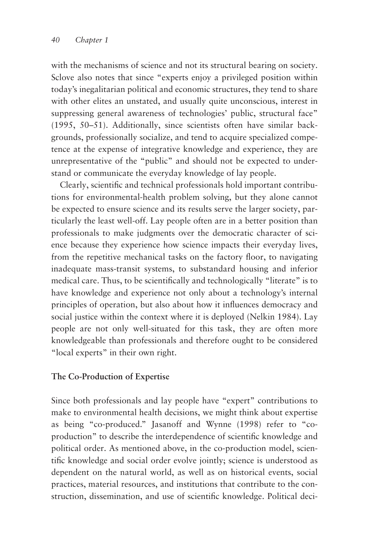with the mechanisms of science and not its structural bearing on society. Sclove also notes that since "experts enjoy a privileged position within today's inegalitarian political and economic structures, they tend to share with other elites an unstated, and usually quite unconscious, interest in suppressing general awareness of technologies' public, structural face" (1995, 50–51). Additionally, since scientists often have similar backgrounds, professionally socialize, and tend to acquire specialized competence at the expense of integrative knowledge and experience, they are unrepresentative of the "public" and should not be expected to understand or communicate the everyday knowledge of lay people.

Clearly, scientific and technical professionals hold important contributions for environmental-health problem solving, but they alone cannot be expected to ensure science and its results serve the larger society, particularly the least well-off. Lay people often are in a better position than professionals to make judgments over the democratic character of science because they experience how science impacts their everyday lives, from the repetitive mechanical tasks on the factory floor, to navigating inadequate mass-transit systems, to substandard housing and inferior medical care. Thus, to be scientifically and technologically "literate" is to have knowledge and experience not only about a technology's internal principles of operation, but also about how it influences democracy and social justice within the context where it is deployed (Nelkin 1984). Lay people are not only well-situated for this task, they are often more knowledgeable than professionals and therefore ought to be considered "local experts" in their own right.

#### **The Co-Production of Expertise**

Since both professionals and lay people have "expert" contributions to make to environmental health decisions, we might think about expertise as being "co-produced." Jasanoff and Wynne (1998) refer to "coproduction" to describe the interdependence of scientific knowledge and political order. As mentioned above, in the co-production model, scientific knowledge and social order evolve jointly; science is understood as dependent on the natural world, as well as on historical events, social practices, material resources, and institutions that contribute to the construction, dissemination, and use of scientific knowledge. Political deci-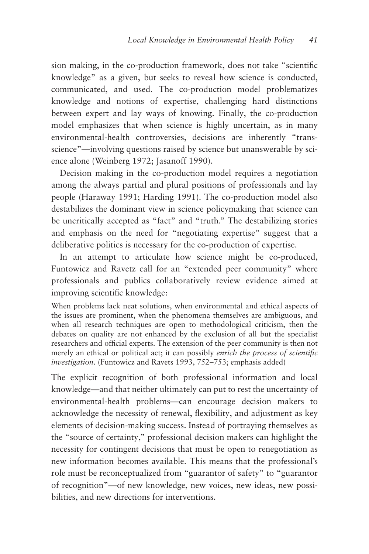sion making, in the co-production framework, does not take "scientific knowledge" as a given, but seeks to reveal how science is conducted, communicated, and used. The co-production model problematizes knowledge and notions of expertise, challenging hard distinctions between expert and lay ways of knowing. Finally, the co-production model emphasizes that when science is highly uncertain, as in many environmental-health controversies, decisions are inherently "transscience"—involving questions raised by science but unanswerable by science alone (Weinberg 1972; Jasanoff 1990).

Decision making in the co-production model requires a negotiation among the always partial and plural positions of professionals and lay people (Haraway 1991; Harding 1991). The co-production model also destabilizes the dominant view in science policymaking that science can be uncritically accepted as "fact" and "truth." The destabilizing stories and emphasis on the need for "negotiating expertise" suggest that a deliberative politics is necessary for the co-production of expertise.

In an attempt to articulate how science might be co-produced, Funtowicz and Ravetz call for an "extended peer community" where professionals and publics collaboratively review evidence aimed at improving scientific knowledge:

When problems lack neat solutions, when environmental and ethical aspects of the issues are prominent, when the phenomena themselves are ambiguous, and when all research techniques are open to methodological criticism, then the debates on quality are not enhanced by the exclusion of all but the specialist researchers and official experts. The extension of the peer community is then not merely an ethical or political act; it can possibly *enrich the process of scientific investigation*. (Funtowicz and Ravets 1993, 752–753; emphasis added)

The explicit recognition of both professional information and local knowledge—and that neither ultimately can put to rest the uncertainty of environmental-health problems—can encourage decision makers to acknowledge the necessity of renewal, flexibility, and adjustment as key elements of decision-making success. Instead of portraying themselves as the "source of certainty," professional decision makers can highlight the necessity for contingent decisions that must be open to renegotiation as new information becomes available. This means that the professional's role must be reconceptualized from "guarantor of safety" to "guarantor of recognition"—of new knowledge, new voices, new ideas, new possibilities, and new directions for interventions.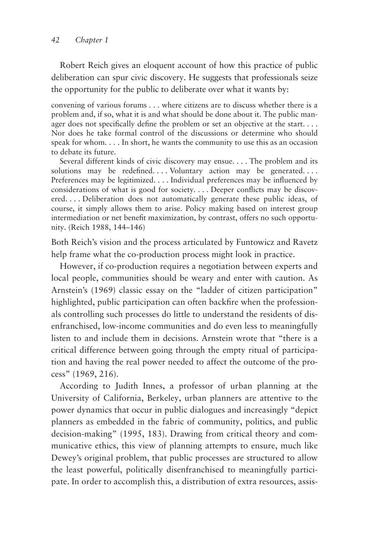Robert Reich gives an eloquent account of how this practice of public deliberation can spur civic discovery. He suggests that professionals seize the opportunity for the public to deliberate over what it wants by:

convening of various forums ...where citizens are to discuss whether there is a problem and, if so, what it is and what should be done about it. The public manager does not specifically define the problem or set an objective at the start. . . . Nor does he take formal control of the discussions or determine who should speak for whom. . . . In short, he wants the community to use this as an occasion to debate its future.

Several different kinds of civic discovery may ensue. . . . The problem and its solutions may be redefined.... Voluntary action may be generated.... Preferences may be legitimized. . . . Individual preferences may be influenced by considerations of what is good for society....Deeper conflicts may be discovered. . . . Deliberation does not automatically generate these public ideas, of course, it simply allows them to arise. Policy making based on interest group intermediation or net benefit maximization, by contrast, offers no such opportunity. (Reich 1988, 144–146)

Both Reich's vision and the process articulated by Funtowicz and Ravetz help frame what the co-production process might look in practice.

However, if co-production requires a negotiation between experts and local people, communities should be weary and enter with caution. As Arnstein's (1969) classic essay on the "ladder of citizen participation" highlighted, public participation can often backfire when the professionals controlling such processes do little to understand the residents of disenfranchised, low-income communities and do even less to meaningfully listen to and include them in decisions. Arnstein wrote that "there is a critical difference between going through the empty ritual of participation and having the real power needed to affect the outcome of the process" (1969, 216).

According to Judith Innes, a professor of urban planning at the University of California, Berkeley, urban planners are attentive to the power dynamics that occur in public dialogues and increasingly "depict planners as embedded in the fabric of community, politics, and public decision-making" (1995, 183). Drawing from critical theory and communicative ethics, this view of planning attempts to ensure, much like Dewey's original problem, that public processes are structured to allow the least powerful, politically disenfranchised to meaningfully participate. In order to accomplish this, a distribution of extra resources, assis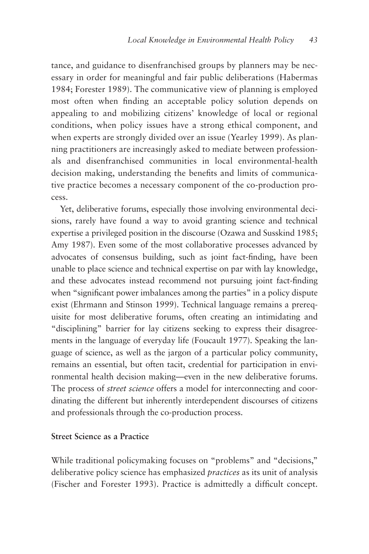tance, and guidance to disenfranchised groups by planners may be necessary in order for meaningful and fair public deliberations (Habermas 1984; Forester 1989). The communicative view of planning is employed most often when finding an acceptable policy solution depends on appealing to and mobilizing citizens' knowledge of local or regional conditions, when policy issues have a strong ethical component, and when experts are strongly divided over an issue (Yearley 1999). As planning practitioners are increasingly asked to mediate between professionals and disenfranchised communities in local environmental-health decision making, understanding the benefits and limits of communicative practice becomes a necessary component of the co-production process.

Yet, deliberative forums, especially those involving environmental decisions, rarely have found a way to avoid granting science and technical expertise a privileged position in the discourse (Ozawa and Susskind 1985; Amy 1987). Even some of the most collaborative processes advanced by advocates of consensus building, such as joint fact-finding, have been unable to place science and technical expertise on par with lay knowledge, and these advocates instead recommend not pursuing joint fact-finding when "significant power imbalances among the parties" in a policy dispute exist (Ehrmann and Stinson 1999). Technical language remains a prerequisite for most deliberative forums, often creating an intimidating and "disciplining" barrier for lay citizens seeking to express their disagreements in the language of everyday life (Foucault 1977). Speaking the language of science, as well as the jargon of a particular policy community, remains an essential, but often tacit, credential for participation in environmental health decision making—even in the new deliberative forums. The process of *street science* offers a model for interconnecting and coordinating the different but inherently interdependent discourses of citizens and professionals through the co-production process.

### **Street Science as a Practice**

While traditional policymaking focuses on "problems" and "decisions," deliberative policy science has emphasized *practices* as its unit of analysis (Fischer and Forester 1993). Practice is admittedly a difficult concept.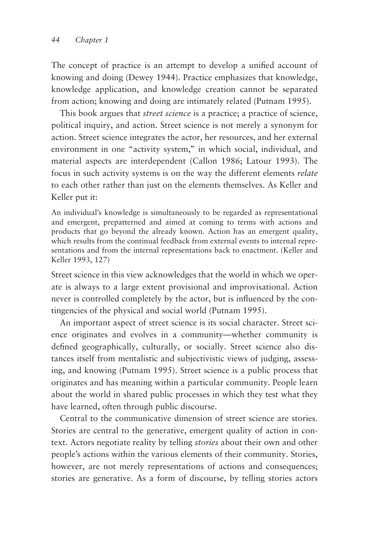The concept of practice is an attempt to develop a unified account of knowing and doing (Dewey 1944). Practice emphasizes that knowledge, knowledge application, and knowledge creation cannot be separated from action; knowing and doing are intimately related (Putnam 1995).

This book argues that *street science* is a practice; a practice of science, political inquiry, and action. Street science is not merely a synonym for action. Street science integrates the actor, her resources, and her external environment in one "activity system," in which social, individual, and material aspects are interdependent (Callon 1986; Latour 1993). The focus in such activity systems is on the way the different elements *relate* to each other rather than just on the elements themselves. As Keller and Keller put it:

An individual's knowledge is simultaneously to be regarded as representational and emergent, prepatterned and aimed at coming to terms with actions and products that go beyond the already known. Action has an emergent quality, which results from the continual feedback from external events to internal representations and from the internal representations back to enactment. (Keller and Keller 1993, 127)

Street science in this view acknowledges that the world in which we operate is always to a large extent provisional and improvisational. Action never is controlled completely by the actor, but is influenced by the contingencies of the physical and social world (Putnam 1995).

An important aspect of street science is its social character. Street science originates and evolves in a community—whether community is defined geographically, culturally, or socially. Street science also distances itself from mentalistic and subjectivistic views of judging, assessing, and knowing (Putnam 1995). Street science is a public process that originates and has meaning within a particular community. People learn about the world in shared public processes in which they test what they have learned, often through public discourse.

Central to the communicative dimension of street science are stories. Stories are central to the generative, emergent quality of action in context. Actors negotiate reality by telling *stories* about their own and other people's actions within the various elements of their community. Stories, however, are not merely representations of actions and consequences; stories are generative. As a form of discourse, by telling stories actors